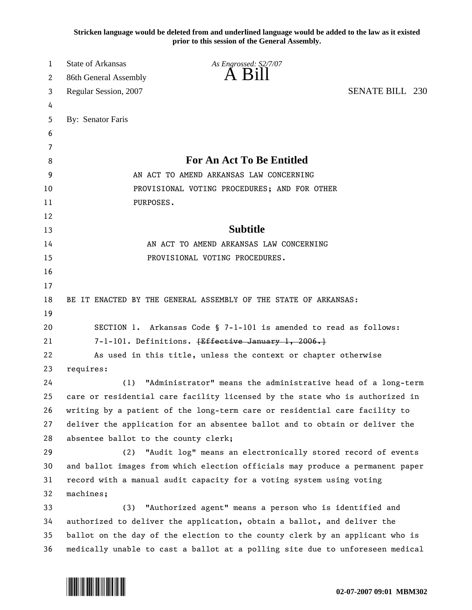**Stricken language would be deleted from and underlined language would be added to the law as it existed prior to this session of the General Assembly.**

| 1  | <b>State of Arkansas</b>             | As Engrossed: S2/7/07                                                         |                        |  |
|----|--------------------------------------|-------------------------------------------------------------------------------|------------------------|--|
| 2  | 86th General Assembly                | A K1                                                                          |                        |  |
| 3  | Regular Session, 2007                |                                                                               | <b>SENATE BILL 230</b> |  |
| 4  |                                      |                                                                               |                        |  |
| 5  | By: Senator Faris                    |                                                                               |                        |  |
| 6  |                                      |                                                                               |                        |  |
| 7  |                                      |                                                                               |                        |  |
| 8  |                                      | <b>For An Act To Be Entitled</b>                                              |                        |  |
| 9  |                                      | AN ACT TO AMEND ARKANSAS LAW CONCERNING                                       |                        |  |
| 10 |                                      | PROVISIONAL VOTING PROCEDURES; AND FOR OTHER                                  |                        |  |
| 11 | PURPOSES.                            |                                                                               |                        |  |
| 12 |                                      |                                                                               |                        |  |
| 13 |                                      | <b>Subtitle</b>                                                               |                        |  |
| 14 |                                      | AN ACT TO AMEND ARKANSAS LAW CONCERNING                                       |                        |  |
| 15 |                                      | PROVISIONAL VOTING PROCEDURES.                                                |                        |  |
| 16 |                                      |                                                                               |                        |  |
| 17 |                                      |                                                                               |                        |  |
| 18 |                                      | BE IT ENACTED BY THE GENERAL ASSEMBLY OF THE STATE OF ARKANSAS:               |                        |  |
| 19 |                                      |                                                                               |                        |  |
| 20 |                                      | SECTION 1. Arkansas Code § 7-1-101 is amended to read as follows:             |                        |  |
| 21 |                                      | 7-1-101. Definitions. <del>[Effective January 1, 2006.]</del>                 |                        |  |
| 22 |                                      | As used in this title, unless the context or chapter otherwise                |                        |  |
| 23 | requires:                            |                                                                               |                        |  |
| 24 | (1)                                  | "Administrator" means the administrative head of a long-term                  |                        |  |
| 25 |                                      | care or residential care facility licensed by the state who is authorized in  |                        |  |
| 26 |                                      | writing by a patient of the long-term care or residential care facility to    |                        |  |
| 27 |                                      | deliver the application for an absentee ballot and to obtain or deliver the   |                        |  |
| 28 | absentee ballot to the county clerk; |                                                                               |                        |  |
| 29 | (2)                                  | "Audit log" means an electronically stored record of events                   |                        |  |
| 30 |                                      | and ballot images from which election officials may produce a permanent paper |                        |  |
| 31 |                                      | record with a manual audit capacity for a voting system using voting          |                        |  |
| 32 | machines;                            |                                                                               |                        |  |
| 33 | (3)                                  | "Authorized agent" means a person who is identified and                       |                        |  |
| 34 |                                      | authorized to deliver the application, obtain a ballot, and deliver the       |                        |  |
| 35 |                                      | ballot on the day of the election to the county clerk by an applicant who is  |                        |  |
| 36 |                                      | medically unable to cast a ballot at a polling site due to unforeseen medical |                        |  |

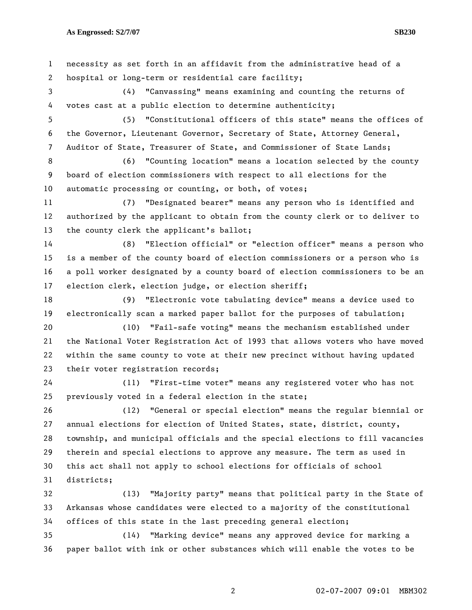1 necessity as set forth in an affidavit from the administrative head of a 2 hospital or long-term or residential care facility; 3 (4) "Canvassing" means examining and counting the returns of 4 votes cast at a public election to determine authenticity; 5 (5) "Constitutional officers of this state" means the offices of 6 the Governor, Lieutenant Governor, Secretary of State, Attorney General, 7 Auditor of State, Treasurer of State, and Commissioner of State Lands; 8 (6) "Counting location" means a location selected by the county 9 board of election commissioners with respect to all elections for the 10 automatic processing or counting, or both, of votes; 11 (7) "Designated bearer" means any person who is identified and 12 authorized by the applicant to obtain from the county clerk or to deliver to 13 the county clerk the applicant's ballot; 14 (8) "Election official" or "election officer" means a person who 15 is a member of the county board of election commissioners or a person who is 16 a poll worker designated by a county board of election commissioners to be an 17 election clerk, election judge, or election sheriff; 18 (9) "Electronic vote tabulating device" means a device used to 19 electronically scan a marked paper ballot for the purposes of tabulation; 20 (10) "Fail-safe voting" means the mechanism established under 21 the National Voter Registration Act of 1993 that allows voters who have moved 22 within the same county to vote at their new precinct without having updated 23 their voter registration records; 24 (11) "First-time voter" means any registered voter who has not 25 previously voted in a federal election in the state; 26 (12) "General or special election" means the regular biennial or 27 annual elections for election of United States, state, district, county, 28 township, and municipal officials and the special elections to fill vacancies 29 therein and special elections to approve any measure. The term as used in 30 this act shall not apply to school elections for officials of school 31 districts; 32 (13) "Majority party" means that political party in the State of 33 Arkansas whose candidates were elected to a majority of the constitutional 34 offices of this state in the last preceding general election; 35 (14) "Marking device" means any approved device for marking a 36 paper ballot with ink or other substances which will enable the votes to be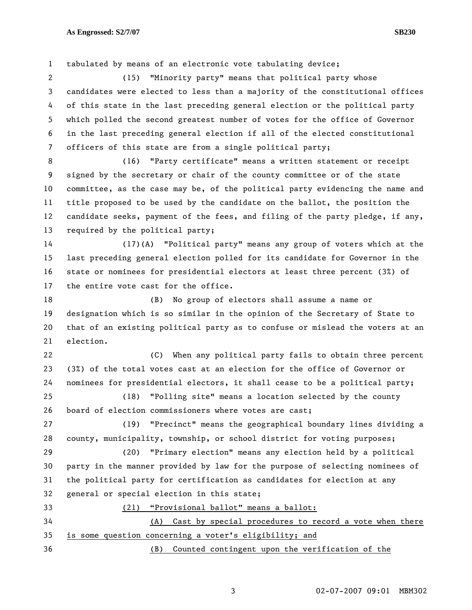1 tabulated by means of an electronic vote tabulating device; 2 (15) "Minority party" means that political party whose 3 candidates were elected to less than a majority of the constitutional offices 4 of this state in the last preceding general election or the political party 5 which polled the second greatest number of votes for the office of Governor 6 in the last preceding general election if all of the elected constitutional 7 officers of this state are from a single political party; 8 (16) "Party certificate" means a written statement or receipt 9 signed by the secretary or chair of the county committee or of the state 10 committee, as the case may be, of the political party evidencing the name and 11 title proposed to be used by the candidate on the ballot, the position the 12 candidate seeks, payment of the fees, and filing of the party pledge, if any, 13 required by the political party; 14 (17)(A) "Political party" means any group of voters which at the 15 last preceding general election polled for its candidate for Governor in the 16 state or nominees for presidential electors at least three percent (3%) of 17 the entire vote cast for the office. 18 (B) No group of electors shall assume a name or 19 designation which is so similar in the opinion of the Secretary of State to 20 that of an existing political party as to confuse or mislead the voters at an 21 election. 22 (C) When any political party fails to obtain three percent 23 (3%) of the total votes cast at an election for the office of Governor or 24 nominees for presidential electors, it shall cease to be a political party; 25 (18) "Polling site" means a location selected by the county 26 board of election commissioners where votes are cast; 27 (19) "Precinct" means the geographical boundary lines dividing a 28 county, municipality, township, or school district for voting purposes; 29 (20) "Primary election" means any election held by a political 30 party in the manner provided by law for the purpose of selecting nominees of 31 the political party for certification as candidates for election at any 32 general or special election in this state; 33 (21) "Provisional ballot" means a ballot: 34 (A) Cast by special procedures to record a vote when there 35 is some question concerning a voter's eligibility; and 36 (B) Counted contingent upon the verification of the

3 02-07-2007 09:01 MBM302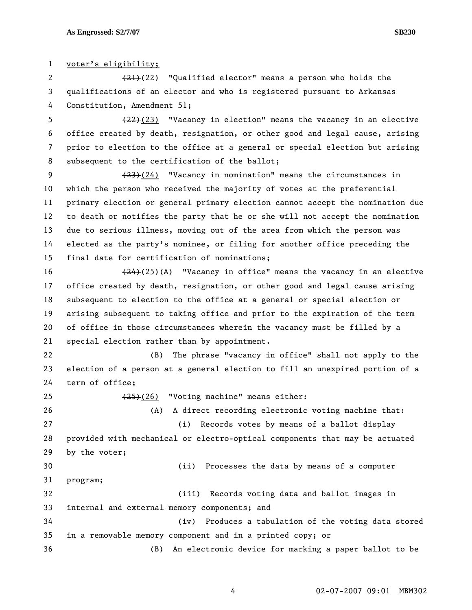1 voter's eligibility; 2 (21)(22) "Qualified elector" means a person who holds the 3 qualifications of an elector and who is registered pursuant to Arkansas 4 Constitution, Amendment 51; 5  $(22)(23)$  "Vacancy in election" means the vacancy in an elective 6 office created by death, resignation, or other good and legal cause, arising 7 prior to election to the office at a general or special election but arising 8 subsequent to the certification of the ballot; 9 (23)(24) "Vacancy in nomination" means the circumstances in 10 which the person who received the majority of votes at the preferential 11 primary election or general primary election cannot accept the nomination due 12 to death or notifies the party that he or she will not accept the nomination 13 due to serious illness, moving out of the area from which the person was 14 elected as the party's nominee, or filing for another office preceding the

15 final date for certification of nominations;

16 (24)(25)(A) "Vacancy in office" means the vacancy in an elective 17 office created by death, resignation, or other good and legal cause arising 18 subsequent to election to the office at a general or special election or 19 arising subsequent to taking office and prior to the expiration of the term 20 of office in those circumstances wherein the vacancy must be filled by a 21 special election rather than by appointment.

22 (B) The phrase "vacancy in office" shall not apply to the 23 election of a person at a general election to fill an unexpired portion of a 24 term of office;

25 (25)(26) "Voting machine" means either: 26 (A) A direct recording electronic voting machine that: 27 (i) Records votes by means of a ballot display 28 provided with mechanical or electro-optical components that may be actuated 29 by the voter; 30 (ii) Processes the data by means of a computer 31 program; 32 (iii) Records voting data and ballot images in 33 internal and external memory components; and 34 (iv) Produces a tabulation of the voting data stored 35 in a removable memory component and in a printed copy; or 36 (B) An electronic device for marking a paper ballot to be

4 02-07-2007 09:01 MBM302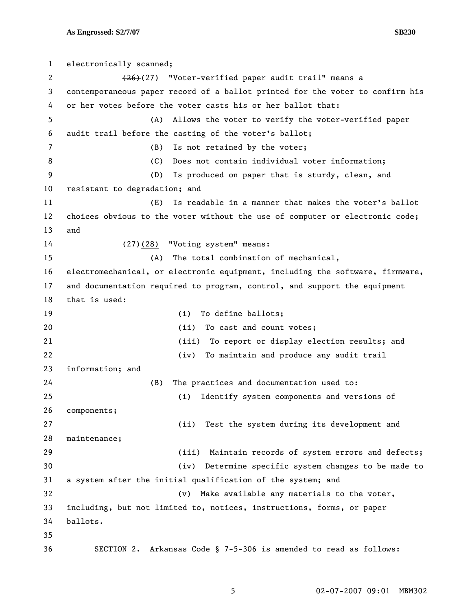1 electronically scanned; 2 (26)(27) "Voter-verified paper audit trail" means a 3 contemporaneous paper record of a ballot printed for the voter to confirm his 4 or her votes before the voter casts his or her ballot that: 5 (A) Allows the voter to verify the voter-verified paper 6 audit trail before the casting of the voter's ballot; 7 (B) Is not retained by the voter; 8 (C) Does not contain individual voter information; 9 (D) Is produced on paper that is sturdy, clean, and 10 resistant to degradation; and 11 (E) Is readable in a manner that makes the voter's ballot 12 choices obvious to the voter without the use of computer or electronic code; 13 and 14 (27)(28) "Voting system" means: 15 (A) The total combination of mechanical, 16 electromechanical, or electronic equipment, including the software, firmware, 17 and documentation required to program, control, and support the equipment 18 that is used: 19 (i) To define ballots; 20 (ii) To cast and count votes; 21 (iii) To report or display election results; and 22 (iv) To maintain and produce any audit trail 23 information; and 24 (B) The practices and documentation used to: 25 (i) Identify system components and versions of 26 components; 27 (ii) Test the system during its development and 28 maintenance; 29 (iii) Maintain records of system errors and defects; 30 (iv) Determine specific system changes to be made to 31 a system after the initial qualification of the system; and 32 (v) Make available any materials to the voter, 33 including, but not limited to, notices, instructions, forms, or paper 34 ballots. 35 36 SECTION 2. Arkansas Code § 7-5-306 is amended to read as follows: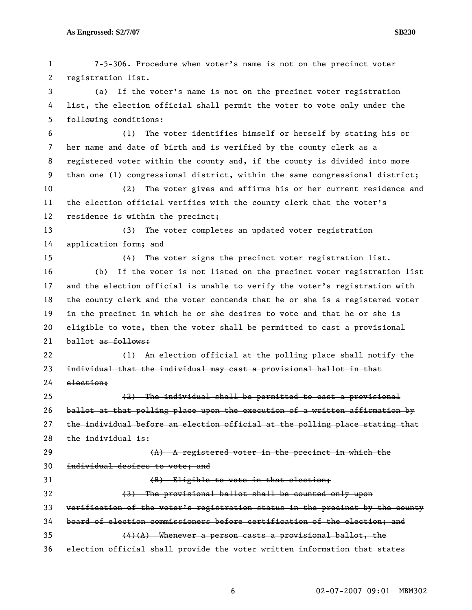| 1  | 7-5-306. Procedure when voter's name is not on the precinct voter             |
|----|-------------------------------------------------------------------------------|
| 2  | registration list.                                                            |
| 3  | If the voter's name is not on the precinct voter registration<br>(a)          |
| 4  | list, the election official shall permit the voter to vote only under the     |
| 5  | following conditions:                                                         |
| 6  | The voter identifies himself or herself by stating his or<br>(1)              |
| 7  | her name and date of birth and is verified by the county clerk as a           |
| 8  | registered voter within the county and, if the county is divided into more    |
| 9  | than one (1) congressional district, within the same congressional district;  |
| 10 | The voter gives and affirms his or her current residence and<br>(2)           |
| 11 | the election official verifies with the county clerk that the voter's         |
| 12 | residence is within the precinct;                                             |
| 13 | The voter completes an updated voter registration<br>(3)                      |
| 14 | application form; and                                                         |
| 15 | The voter signs the precinct voter registration list.<br>(4)                  |
| 16 | (b)<br>If the voter is not listed on the precinct voter registration list     |
| 17 | and the election official is unable to verify the voter's registration with   |
| 18 | the county clerk and the voter contends that he or she is a registered voter  |
| 19 | in the precinct in which he or she desires to vote and that he or she is      |
| 20 | eligible to vote, then the voter shall be permitted to cast a provisional     |
| 21 | ballot as follows:                                                            |
| 22 | (1) An election official at the polling place shall notify the                |
| 23 | individual that the individual may cast a provisional ballot in that          |
| 24 | election;                                                                     |
| 25 | (2) The individual shall be permitted to cast a provisional                   |
| 26 | ballot at that polling place upon the execution of a written affirmation by   |
| 27 | the individual before an election official at the polling place stating that  |
| 28 | the individual is:                                                            |
| 29 | $(A)$ A registered voter in the precinct in which the                         |
| 30 | individual desires to vote; and                                               |
| 31 | (B) Eligible to vote in that election;                                        |
| 32 | (3) The provisional ballot shall be counted only upon                         |
| 33 | verification of the voter's registration status in the precinct by the county |
| 34 | board of election commissioners before certification of the election; and     |
| 35 | $(4)(A)$ Whenever a person casts a provisional ballot, the                    |
| 36 | election official shall provide the voter written information that states     |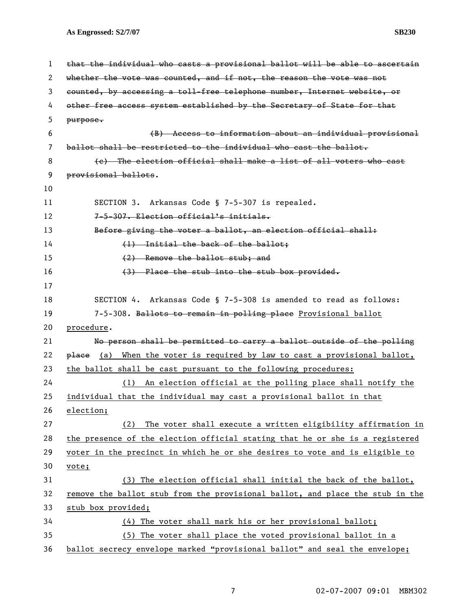**As Engrossed: S2/7/07 SB230** 

1 that the individual who casts a provisional ballot will be able to ascertain 2 whether the vote was counted, and if not, the reason the vote was not 3 counted, by accessing a toll-free telephone number, Internet website, or 4 other free access system established by the Secretary of State for that 5 purpose. 6 (B) Access to information about an individual provisional 7 ballot shall be restricted to the individual who cast the ballot. 8 (c) The election official shall make a list of all voters who cast 9 **provisional ballots.** 10 11 SECTION 3. Arkansas Code § 7-5-307 is repealed. 12 7-5-307. Election official's initials. 13 Before giving the voter a ballot, an election official shall: 14 (1) Initial the back of the ballot: 15 (2) Remove the ballot stub; and 16 (3) Place the stub into the stub box provided. 17 18 SECTION 4. Arkansas Code § 7-5-308 is amended to read as follows: 19 7-5-308. Ballots to remain in polling place Provisional ballot 20 procedure. 21 No person shall be permitted to carry a ballot outside of the polling 22  $p$ lace (a) When the voter is required by law to cast a provisional ballot, 23 the ballot shall be cast pursuant to the following procedures: 24 (1) An election official at the polling place shall notify the 25 individual that the individual may cast a provisional ballot in that 26 election; 27 (2) The voter shall execute a written eligibility affirmation in 28 the presence of the election official stating that he or she is a registered 29 voter in the precinct in which he or she desires to vote and is eligible to 30 vote; 31 (3) The election official shall initial the back of the ballot, 32 remove the ballot stub from the provisional ballot, and place the stub in the 33 stub box provided; 34 (4) The voter shall mark his or her provisional ballot; 35 (5) The voter shall place the voted provisional ballot in a 36 ballot secrecy envelope marked "provisional ballot" and seal the envelope;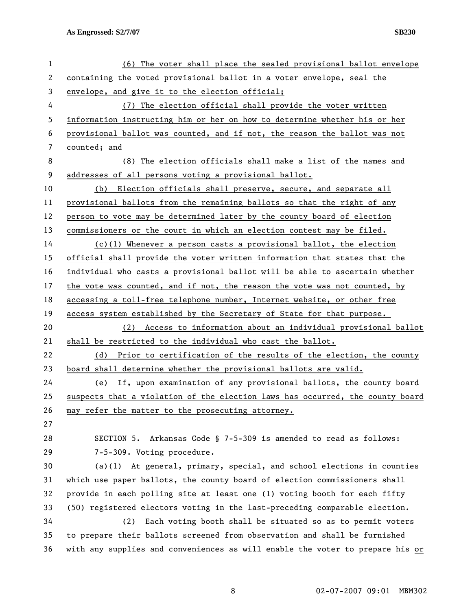| $\mathbf{1}$ | (6) The voter shall place the sealed provisional ballot envelope              |
|--------------|-------------------------------------------------------------------------------|
| $\mathbf{2}$ | containing the voted provisional ballot in a voter envelope, seal the         |
| 3            | envelope, and give it to the election official;                               |
| 4            | (7) The election official shall provide the voter written                     |
| 5            | information instructing him or her on how to determine whether his or her     |
| 6            | provisional ballot was counted, and if not, the reason the ballot was not     |
| 7            | counted; and                                                                  |
| 8            | (8) The election officials shall make a list of the names and                 |
| 9            | addresses of all persons voting a provisional ballot.                         |
| 10           | Election officials shall preserve, secure, and separate all<br>(b)            |
| 11           | provisional ballots from the remaining ballots so that the right of any       |
| 12           | person to vote may be determined later by the county board of election        |
| 13           | commissioners or the court in which an election contest may be filed.         |
| 14           | $(c)(1)$ Whenever a person casts a provisional ballot, the election           |
| 15           | official shall provide the voter written information that states that the     |
| 16           | individual who casts a provisional ballot will be able to ascertain whether   |
| 17           | the vote was counted, and if not, the reason the vote was not counted, by     |
| 18           | accessing a toll-free telephone number, Internet website, or other free       |
| 19           | access system established by the Secretary of State for that purpose.         |
| 20           | (2) Access to information about an individual provisional ballot              |
| 21           | shall be restricted to the individual who cast the ballot.                    |
| 22           | (d) Prior to certification of the results of the election, the county         |
| 23           | board shall determine whether the provisional ballots are valid.              |
| 24           | If, upon examination of any provisional ballots, the county board<br>(e)      |
| 25           | suspects that a violation of the election laws has occurred, the county board |
| 26           | may refer the matter to the prosecuting attorney.                             |
| 27           |                                                                               |
| 28           | SECTION 5. Arkansas Code § 7-5-309 is amended to read as follows:             |
| 29           | 7-5-309. Voting procedure.                                                    |
| 30           | $(a)(1)$ At general, primary, special, and school elections in counties       |
| 31           | which use paper ballots, the county board of election commissioners shall     |
| 32           | provide in each polling site at least one (1) voting booth for each fifty     |
| 33           | (50) registered electors voting in the last-preceding comparable election.    |
| 34           | (2)<br>Each voting booth shall be situated so as to permit voters             |
| 35           | to prepare their ballots screened from observation and shall be furnished     |
| 36           | with any supplies and conveniences as will enable the voter to prepare his or |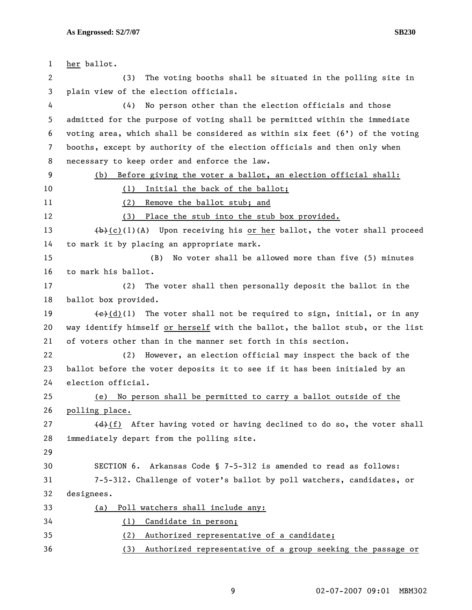| 1  | her ballot.                                                                                    |
|----|------------------------------------------------------------------------------------------------|
| 2  | The voting booths shall be situated in the polling site in<br>(3)                              |
| 3  | plain view of the election officials.                                                          |
| 4  | No person other than the election officials and those<br>(4)                                   |
| 5  | admitted for the purpose of voting shall be permitted within the immediate                     |
| 6  | voting area, which shall be considered as within six feet $(6')$ of the voting                 |
| 7  | booths, except by authority of the election officials and then only when                       |
| 8  | necessary to keep order and enforce the law.                                                   |
| 9  | Before giving the voter a ballot, an election official shall:<br>(b)                           |
| 10 | Initial the back of the ballot;<br>(1)                                                         |
| 11 | (2)<br>Remove the ballot stub; and                                                             |
| 12 | Place the stub into the stub box provided.<br>(3)                                              |
| 13 | $(b)+(c)(1)$ (A) Upon receiving his or her ballot, the voter shall proceed                     |
| 14 | to mark it by placing an appropriate mark.                                                     |
| 15 | No voter shall be allowed more than five (5) minutes<br>(B)                                    |
| 16 | to mark his ballot.                                                                            |
| 17 | (2)<br>The voter shall then personally deposit the ballot in the                               |
| 18 | ballot box provided.                                                                           |
| 19 | $\left(\frac{e}{c}\right)(1)$ The voter shall not be required to sign, initial, or in any      |
| 20 | way identify himself or herself with the ballot, the ballot stub, or the list                  |
| 21 | of voters other than in the manner set forth in this section.                                  |
| 22 | However, an election official may inspect the back of the<br>(2)                               |
| 23 | ballot before the voter deposits it to see if it has been initialed by an                      |
| 24 | election official.                                                                             |
| 25 | No person shall be permitted to carry a ballot outside of the<br>(e)                           |
| 26 | polling place.                                                                                 |
| 27 | $\left(\frac{d}{d}\right)$ (f) After having voted or having declined to do so, the voter shall |
| 28 | immediately depart from the polling site.                                                      |
| 29 |                                                                                                |
| 30 | SECTION 6. Arkansas Code § 7-5-312 is amended to read as follows:                              |
| 31 | 7-5-312. Challenge of voter's ballot by poll watchers, candidates, or                          |
| 32 | designees.                                                                                     |
| 33 | Poll watchers shall include any:<br>(a)                                                        |
| 34 | Candidate in person;<br>(1)                                                                    |
| 35 | (2)<br>Authorized representative of a candidate;                                               |
| 36 | Authorized representative of a group seeking the passage or<br>(3)                             |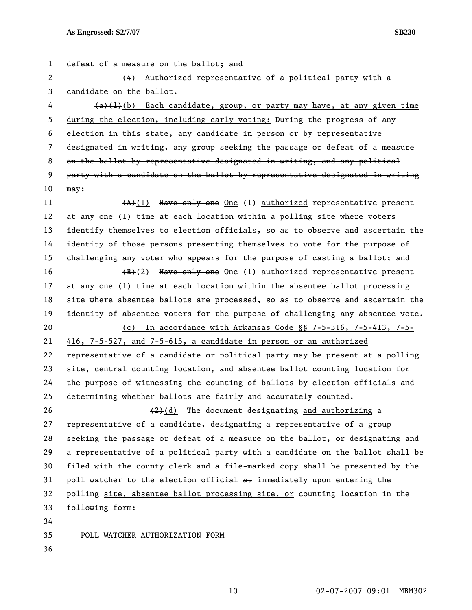1 defeat of a measure on the ballot; and

2 (4) Authorized representative of a political party with a 3 candidate on the ballot.  $4 \left(4\right)^{4}(b)$  Each candidate, group, or party may have, at any given time 5 during the election, including early voting: During the progress of any 6 election in this state, any candidate in person or by representative 7 designated in writing, any group seeking the passage or defeat of a measure 8 on the ballot by representative designated in writing, and any political 9 party with a candidate on the ballot by representative designated in writing  $10$  may: 11  $(A)+(1)$  Have only one One (1) authorized representative present 12 at any one (1) time at each location within a polling site where voters 13 identify themselves to election officials, so as to observe and ascertain the 14 identity of those persons presenting themselves to vote for the purpose of 15 challenging any voter who appears for the purpose of casting a ballot; and 16  $\left(\frac{B}{B}\right)(2)$  Have only one 0ne (1) authorized representative present 17 at any one (1) time at each location within the absentee ballot processing 18 site where absentee ballots are processed, so as to observe and ascertain the 19 identity of absentee voters for the purpose of challenging any absentee vote. 20 (c) In accordance with Arkansas Code §§ 7-5-316, 7-5-413, 7-5- 21 416, 7-5-527, and 7-5-615, a candidate in person or an authorized 22 representative of a candidate or political party may be present at a polling 23 site, central counting location, and absentee ballot counting location for 24 the purpose of witnessing the counting of ballots by election officials and 25 determining whether ballots are fairly and accurately counted. 26  $(2)(d)$  The document designating and authorizing a 27 representative of a candidate, designating a representative of a group 28 seeking the passage or defeat of a measure on the ballot, or designating and 29 a representative of a political party with a candidate on the ballot shall be 30 filed with the county clerk and a file-marked copy shall be presented by the 31 poll watcher to the election official  $a$ t immediately upon entering the 32 polling site, absentee ballot processing site, or counting location in the 33 following form: 34 35 POLL WATCHER AUTHORIZATION FORM 36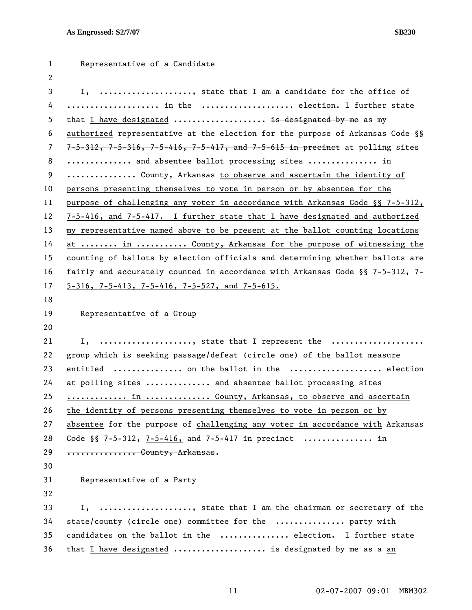| 1              | Representative of a Candidate                                                              |
|----------------|--------------------------------------------------------------------------------------------|
| 2              |                                                                                            |
| 3              | I, , state that I am a candidate for the office of                                         |
| 4              | in the  election. I further state                                                          |
| 5              | that I have designated  is designated by me as my                                          |
| 6              | authorized representative at the election for the purpose of Arkansas Gode §§              |
| $\overline{7}$ | $7-5-312$ , $7-5-316$ , $7-5-416$ , $7-5-417$ , and $7-5-615$ in precinct at polling sites |
| 8              | and absentee ballot processing sites  in                                                   |
| 9              | County, Arkansas to observe and ascertain the identity of                                  |
| 10             | persons presenting themselves to vote in person or by absentee for the                     |
| 11             | purpose of challenging any voter in accordance with Arkansas Code §§ 7-5-312,              |
| 12             | 7-5-416, and 7-5-417. I further state that I have designated and authorized                |
| 13             | my representative named above to be present at the ballot counting locations               |
| 14             | at  in  County, Arkansas for the purpose of witnessing the                                 |
| 15             | counting of ballots by election officials and determining whether ballots are              |
| 16             | fairly and accurately counted in accordance with Arkansas Code §§ 7-5-312, 7-              |
| 17             | $5-316$ , 7-5-413, 7-5-416, 7-5-527, and 7-5-615.                                          |
| 18             |                                                                                            |
| 19             | Representative of a Group                                                                  |
| 20             |                                                                                            |
| 21             | , state that I represent the<br>Ι,                                                         |
| 22             | group which is seeking passage/defeat (circle one) of the ballot measure                   |
| 23             | entitled  on the ballot in the  election                                                   |
| 24             | at polling sites  and absentee ballot processing sites                                     |
| 25             | in  County, Arkansas, to observe and ascertain                                             |
| 26             | the identity of persons presenting themselves to vote in person or by                      |
| 27             | absentee for the purpose of challenging any voter in accordance with Arkansas              |
| 28             | Code §§ 7-5-312, 7-5-416, and 7-5-417 in precinct  in                                      |
| 29             | *************** County, Arkansas.                                                          |
| 30             |                                                                                            |
| 31             | Representative of a Party                                                                  |
| 32             |                                                                                            |
| 33             | I, , state that I am the chairman or secretary of the                                      |
| 34             | state/county (circle one) committee for the  party with                                    |
| 35             | candidates on the ballot in the  election. I further state                                 |
| 36             | that I have designated  is designated by me as a an                                        |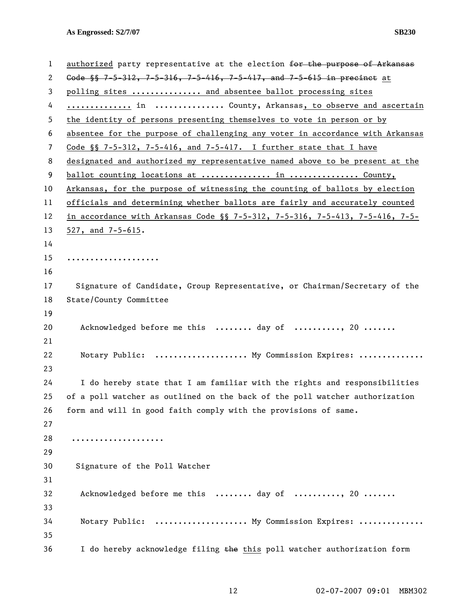| 1  | authorized party representative at the election for the purpose of Arkansas           |
|----|---------------------------------------------------------------------------------------|
| 2  | Gode $\frac{15}{12}$ , 7-5-312, 7-5-316, 7-5-416, 7-5-417, and 7-5-615 in precinct at |
| 3  | polling sites  and absentee ballot processing sites                                   |
| 4  | in  County, Arkansas, to observe and ascertain                                        |
| 5  | the identity of persons presenting themselves to vote in person or by                 |
| 6  | absentee for the purpose of challenging any voter in accordance with Arkansas         |
| 7  | Code $\S$ 7-5-312, 7-5-416, and 7-5-417. I further state that I have                  |
| 8  | designated and authorized my representative named above to be present at the          |
| 9  | ballot counting locations at  in  County,                                             |
| 10 | Arkansas, for the purpose of witnessing the counting of ballots by election           |
| 11 | officials and determining whether ballots are fairly and accurately counted           |
| 12 | in accordance with Arkansas Code §§ 7-5-312, 7-5-316, 7-5-413, 7-5-416, 7-5-          |
| 13 | 527, and $7-5-615$ .                                                                  |
| 14 |                                                                                       |
| 15 | .                                                                                     |
| 16 |                                                                                       |
| 17 | Signature of Candidate, Group Representative, or Chairman/Secretary of the            |
| 18 | State/County Committee                                                                |
| 19 |                                                                                       |
| 20 | Acknowledged before me this  day of , 20                                              |
| 21 |                                                                                       |
| 22 | Notary Public:  My Commission Expires:                                                |
| 23 |                                                                                       |
| 24 | I do hereby state that I am familiar with the rights and responsibilities             |
| 25 | of a poll watcher as outlined on the back of the poll watcher authorization           |
| 26 | form and will in good faith comply with the provisions of same.                       |
| 27 |                                                                                       |
| 28 | .                                                                                     |
| 29 |                                                                                       |
| 30 | Signature of the Poll Watcher                                                         |
| 31 |                                                                                       |
| 32 | Acknowledged before me this  day of , 20                                              |
| 33 |                                                                                       |
| 34 | Notary Public:  My Commission Expires:                                                |
| 35 |                                                                                       |
| 36 | I do hereby acknowledge filing the this poll watcher authorization form               |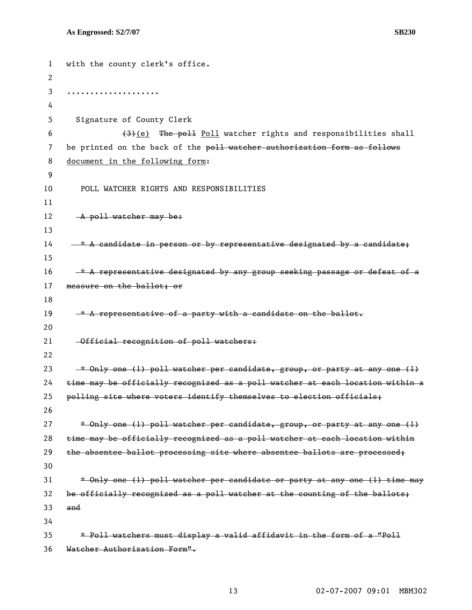```
1 with the county clerk's office. 
 2 
 3 .................... 
 4 
5 Signature of County Clerk 
 6 (3) (e) The poll Poll watcher rights and responsibilities shall
7 be printed on the back of the poll watcher authorization form as follows
8 document in the following form: 
9 
10 POLL WATCHER RIGHTS AND RESPONSIBILITIES 
11 
12 A poll watcher may be:
13 
14 - * A candidate in person or by representative designated by a candidate;
15 
16 \t-\star A representative designated by any group seeking passage or defeat of a
17 measure on the ballot; or 
18 
19 \rightarrow A representative of a party with a candidate on the ballot.
20 
21 Official recognition of poll watchers: 
22 
23 * Only one (1) poll watcher per candidate, group, or party at any one (1)
24 time may be officially recognized as a poll watcher at each location within a 
25 polling site where voters identify themselves to election officials; 
26 
27 * Only one (1) poll watcher per candidate, group, or party at any one (1)
28 time may be officially recognized as a poll watcher at each location within 
29 the absentee ballot processing site where absentee ballots are processed;
30 
31 * Only one (1) poll watcher per candidate or party at any one (1) time may
32 be officially recognized as a poll watcher at the counting of the ballots; 
33 and 
34 
35 * Poll watchers must display a valid affidavit in the form of a "Poll 
36 Watcher Authorization Form".
```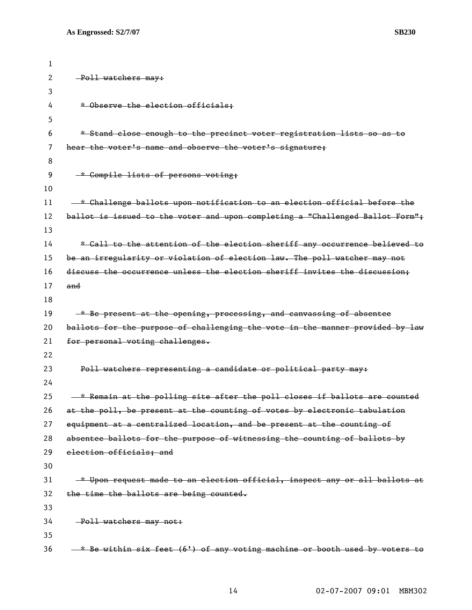| 1  |                                                                               |
|----|-------------------------------------------------------------------------------|
| 2  | -Poll watchers may:                                                           |
| 3  |                                                                               |
| 4  | * Observe the election officials;                                             |
| 5  |                                                                               |
| 6  | * Stand close enough to the precinct voter registration lists so as to        |
| 7  | hear the voter's name and observe the voter's signature;                      |
| 8  |                                                                               |
| 9  | * Compile lists of persons voting;                                            |
| 10 |                                                                               |
| 11 | -* Challenge ballots upon notification to an election official before the     |
| 12 | ballot is issued to the voter and upon completing a "Challenged Ballot Form"; |
| 13 |                                                                               |
| 14 | * Call to the attention of the election sheriff any occurrence believed to    |
| 15 | be an irregularity or violation of election law. The poll watcher may not     |
| 16 | discuss the occurrence unless the election sheriff invites the discussion;    |
| 17 | and                                                                           |
| 18 |                                                                               |
| 19 | * Be present at the opening, processing, and canvassing of absentee           |
| 20 | ballots for the purpose of challenging the vote in the manner provided by law |
| 21 | for personal voting challenges.                                               |
| 22 |                                                                               |
| 23 | Poll watchers representing a candidate or political party may:                |
| 24 |                                                                               |
| 25 | * Remain at the polling site after the poll closes if ballots are counted     |
| 26 | at the poll, be present at the counting of votes by electronic tabulation     |
| 27 | equipment at a centralized location, and be present at the counting of        |
| 28 | absentee ballots for the purpose of witnessing the counting of ballots by     |
| 29 | election officials; and                                                       |
| 30 |                                                                               |
| 31 | * Upon request made to an election official, inspect any or all ballots at    |
| 32 | the time the ballots are being counted.                                       |
| 33 |                                                                               |
| 34 | -Poll watchers may not:                                                       |
| 35 |                                                                               |
| 36 | -* Be within six feet (6') of any voting machine or booth used by voters to   |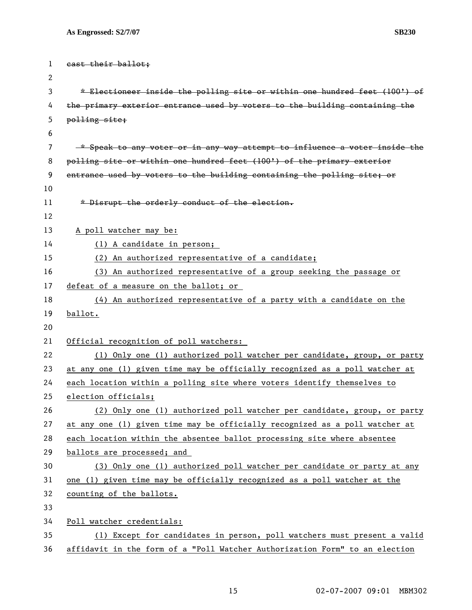```
1 cast their ballot; 
 2 
 3 * Electioneer inside the polling site or within one hundred feet (100') of 
 4 the primary exterior entrance used by voters to the building containing the 
5 polling site; 
 6 
 7 * Speak to any voter or in any way attempt to influence a voter inside the 
8 polling site or within one hundred feet (100') of the primary exterior 
9 entrance used by voters to the building containing the polling site; or 
10 
11 * Disrupt the orderly conduct of the election.
12 
13 A poll watcher may be: 
14 (1) A candidate in person; 
15 (2) An authorized representative of a candidate; 
16 (3) An authorized representative of a group seeking the passage or 
17 defeat of a measure on the ballot; or 
18 (4) An authorized representative of a party with a candidate on the 
19 ballot. 
20 
21 Official recognition of poll watchers: 
22 (1) Only one (1) authorized poll watcher per candidate, group, or party 
23 at any one (1) given time may be officially recognized as a poll watcher at 
24 each location within a polling site where voters identify themselves to 
25 election officials;
26 (2) Only one (1) authorized poll watcher per candidate, group, or party 
27 at any one (1) given time may be officially recognized as a poll watcher at 
28 each location within the absentee ballot processing site where absentee 
29 ballots are processed; and 
30 (3) Only one (1) authorized poll watcher per candidate or party at any 
31 one (1) given time may be officially recognized as a poll watcher at the 
32 counting of the ballots.
33 
34 Poll watcher credentials:
35 (1) Except for candidates in person, poll watchers must present a valid 
36 affidavit in the form of a "Poll Watcher Authorization Form" to an election
```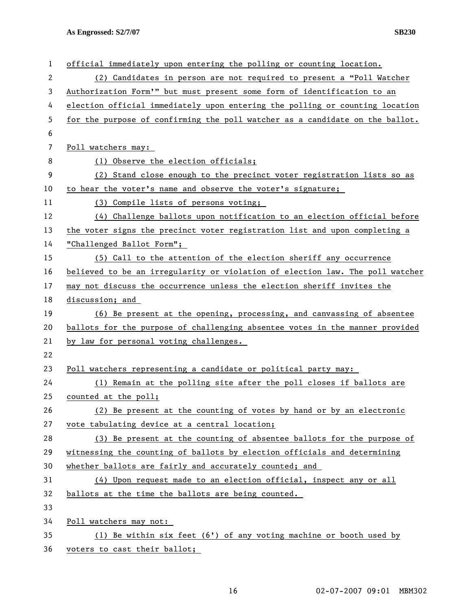**As Engrossed: S2/7/07 SB230** 

| 1  | official immediately upon entering the polling or counting location.          |
|----|-------------------------------------------------------------------------------|
| 2  | (2) Candidates in person are not required to present a "Poll Watcher          |
| 3  | Authorization Form'" but must present some form of identification to an       |
| 4  | election official immediately upon entering the polling or counting location  |
| 5  | for the purpose of confirming the poll watcher as a candidate on the ballot.  |
| 6  |                                                                               |
| 7  | Poll watchers may:                                                            |
| 8  | (1) Observe the election officials;                                           |
| 9  | (2) Stand close enough to the precinct voter registration lists so as         |
| 10 | to hear the voter's name and observe the voter's signature;                   |
| 11 | (3) Compile lists of persons voting;                                          |
| 12 | (4) Challenge ballots upon notification to an election official before        |
| 13 | the voter signs the precinct voter registration list and upon completing a    |
| 14 | "Challenged Ballot Form";                                                     |
| 15 | (5) Call to the attention of the election sheriff any occurrence              |
| 16 | believed to be an irregularity or violation of election law. The poll watcher |
| 17 | may not discuss the occurrence unless the election sheriff invites the        |
| 18 | discussion; and                                                               |
| 19 | (6) Be present at the opening, processing, and canvassing of absentee         |
| 20 | ballots for the purpose of challenging absentee votes in the manner provided  |
| 21 | by law for personal voting challenges.                                        |
| 22 |                                                                               |
| 23 | Poll watchers representing a candidate or political party may:                |
| 24 | (1) Remain at the polling site after the poll closes if ballots are           |
| 25 | counted at the poll;                                                          |
| 26 | (2) Be present at the counting of votes by hand or by an electronic           |
| 27 | vote tabulating device at a central location;                                 |
| 28 | (3) Be present at the counting of absentee ballots for the purpose of         |
| 29 | witnessing the counting of ballots by election officials and determining      |
| 30 | whether ballots are fairly and accurately counted; and                        |
| 31 | (4) Upon request made to an election official, inspect any or all             |
| 32 | ballots at the time the ballots are being counted.                            |
| 33 |                                                                               |
| 34 | Poll watchers may not:                                                        |
| 35 | (1) Be within six feet $(6')$ of any voting machine or booth used by          |
| 36 | voters to cast their ballot;                                                  |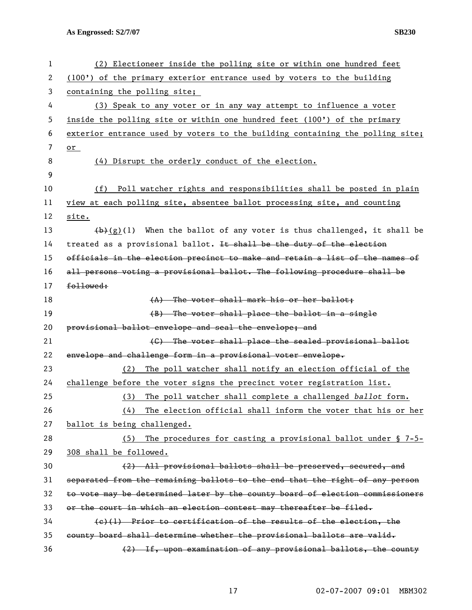**As Engrossed: S2/7/07 SB230** 

| 1  | (2) Electioneer inside the polling site or within one hundred feet            |
|----|-------------------------------------------------------------------------------|
| 2  | (100') of the primary exterior entrance used by voters to the building        |
| 3  | containing the polling site;                                                  |
| 4  | (3) Speak to any voter or in any way attempt to influence a voter             |
| 5  | inside the polling site or within one hundred feet (100') of the primary      |
| 6  | exterior entrance used by voters to the building containing the polling site; |
| 7  | or                                                                            |
| 8  | (4) Disrupt the orderly conduct of the election.                              |
| 9  |                                                                               |
| 10 | (f) Poll watcher rights and responsibilities shall be posted in plain         |
| 11 | view at each polling site, absentee ballot processing site, and counting      |
| 12 | site.                                                                         |
| 13 | $(b)$ (g)(l) When the ballot of any voter is thus challenged, it shall be     |
| 14 | treated as a provisional ballot. It shall be the duty of the election         |
| 15 | officials in the election precinct to make and retain a list of the names of  |
| 16 | all persons voting a provisional ballot. The following procedure shall be     |
| 17 | followed:                                                                     |
| 18 | (A) The voter shall mark his or her ballot:                                   |
| 19 | (B) The voter shall place the ballot in a single                              |
| 20 | provisional ballot envelope and seal the envelope; and                        |
| 21 | (C) The voter shall place the sealed provisional ballot                       |
| 22 | envelope and challenge form in a provisional voter envelope.                  |
| 23 | The poll watcher shall notify an election official of the<br>(2)              |
| 24 | challenge before the voter signs the precinct voter registration list.        |
| 25 | The poll watcher shall complete a challenged ballot form.<br>(3)              |
| 26 | The election official shall inform the voter that his or her<br>(4)           |
| 27 | ballot is being challenged.                                                   |
| 28 | The procedures for casting a provisional ballot under § 7-5-<br>(5)           |
| 29 | 308 shall be followed.                                                        |
| 30 | (2) All provisional ballots shall be preserved, secured, and                  |
| 31 | separated from the remaining ballots to the end that the right of any person  |
| 32 | to vote may be determined later by the county board of election commissioners |
| 33 | or the court in which an election contest may thereafter be filed.            |
| 34 | $(e)(1)$ Prior to certification of the results of the election, the           |
| 35 | county board shall determine whether the provisional ballots are valid.       |
| 36 | (2) If, upon examination of any provisional ballots, the county               |